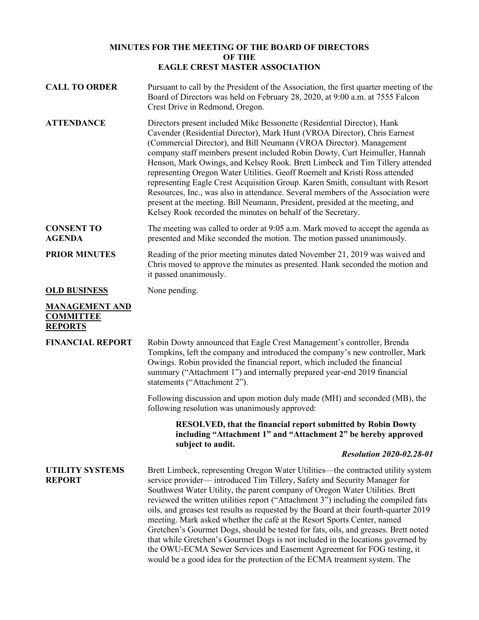## **MINUTES FOR THE MEETING OF THE BOARD OF DIRECTORS OF THE EAGLE CREST MASTER ASSOCIATION**

| <b>CALL TO ORDER</b>                                        | Pursuant to call by the President of the Association, the first quarter meeting of the<br>Board of Directors was held on February 28, 2020, at 9:00 a.m. at 7555 Falcon<br>Crest Drive in Redmond, Oregon.                                                                                                                                                                                                                                                                                                                                                                                                                                                                                                                                                                                                                              |
|-------------------------------------------------------------|-----------------------------------------------------------------------------------------------------------------------------------------------------------------------------------------------------------------------------------------------------------------------------------------------------------------------------------------------------------------------------------------------------------------------------------------------------------------------------------------------------------------------------------------------------------------------------------------------------------------------------------------------------------------------------------------------------------------------------------------------------------------------------------------------------------------------------------------|
| <b>ATTENDANCE</b>                                           | Directors present included Mike Bessonette (Residential Director), Hank<br>Cavender (Residential Director), Mark Hunt (VROA Director), Chris Earnest<br>(Commercial Director), and Bill Neumann (VROA Director). Management<br>company staff members present included Robin Dowty, Curt Heimuller, Hannah<br>Henson, Mark Owings, and Kelsey Rook. Brett Limbeck and Tim Tillery attended<br>representing Oregon Water Utilities. Geoff Roemelt and Kristi Ross attended<br>representing Eagle Crest Acquisition Group. Karen Smith, consultant with Resort<br>Resources, Inc., was also in attendance. Several members of the Association were<br>present at the meeting. Bill Neumann, President, presided at the meeting, and<br>Kelsey Rook recorded the minutes on behalf of the Secretary.                                        |
| <b>CONSENT TO</b><br><b>AGENDA</b>                          | The meeting was called to order at 9:05 a.m. Mark moved to accept the agenda as<br>presented and Mike seconded the motion. The motion passed unanimously.                                                                                                                                                                                                                                                                                                                                                                                                                                                                                                                                                                                                                                                                               |
| <b>PRIOR MINUTES</b>                                        | Reading of the prior meeting minutes dated November 21, 2019 was waived and<br>Chris moved to approve the minutes as presented. Hank seconded the motion and<br>it passed unanimously.                                                                                                                                                                                                                                                                                                                                                                                                                                                                                                                                                                                                                                                  |
| <b>OLD BUSINESS</b>                                         | None pending.                                                                                                                                                                                                                                                                                                                                                                                                                                                                                                                                                                                                                                                                                                                                                                                                                           |
| <b>MANAGEMENT AND</b><br><b>COMMITTEE</b><br><b>REPORTS</b> |                                                                                                                                                                                                                                                                                                                                                                                                                                                                                                                                                                                                                                                                                                                                                                                                                                         |
| <b>FINANCIAL REPORT</b>                                     | Robin Dowty announced that Eagle Crest Management's controller, Brenda<br>Tompkins, left the company and introduced the company's new controller, Mark<br>Owings. Robin provided the financial report, which included the financial<br>summary ("Attachment 1") and internally prepared year-end 2019 financial<br>statements ("Attachment 2").                                                                                                                                                                                                                                                                                                                                                                                                                                                                                         |
|                                                             | Following discussion and upon motion duly made (MH) and seconded (MB), the<br>following resolution was unanimously approved:                                                                                                                                                                                                                                                                                                                                                                                                                                                                                                                                                                                                                                                                                                            |
|                                                             | <b>RESOLVED, that the financial report submitted by Robin Dowty</b><br>including "Attachment 1" and "Attachment 2" be hereby approved<br>subject to audit.                                                                                                                                                                                                                                                                                                                                                                                                                                                                                                                                                                                                                                                                              |
|                                                             | <b>Resolution 2020-02.28-01</b>                                                                                                                                                                                                                                                                                                                                                                                                                                                                                                                                                                                                                                                                                                                                                                                                         |
| <b>UTILITY SYSTEMS</b><br><b>REPORT</b>                     | Brett Limbeck, representing Oregon Water Utilities-the contracted utility system<br>service provider— introduced Tim Tillery, Safety and Security Manager for<br>Southwest Water Utility, the parent company of Oregon Water Utilities. Brett<br>reviewed the written utilities report ("Attachment 3") including the compiled fats<br>oils, and greases test results as requested by the Board at their fourth-quarter 2019<br>meeting. Mark asked whether the café at the Resort Sports Center, named<br>Gretchen's Gourmet Dogs, should be tested for fats, oils, and greases. Brett noted<br>that while Gretchen's Gourmet Dogs is not included in the locations governed by<br>the OWU-ECMA Sewer Services and Easement Agreement for FOG testing, it<br>would be a good idea for the protection of the ECMA treatment system. The |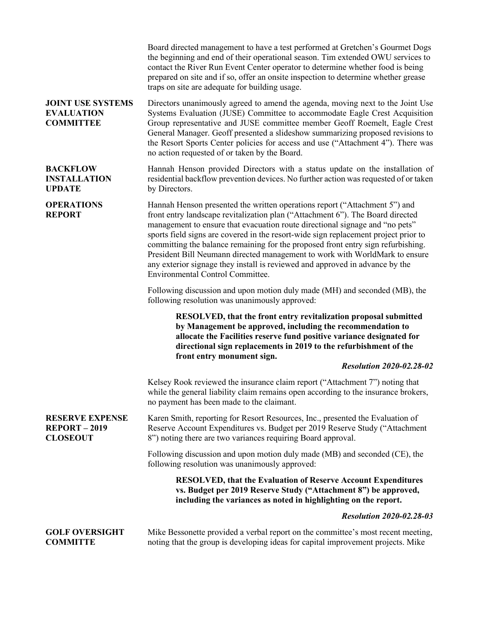|                                                                   | Board directed management to have a test performed at Gretchen's Gourmet Dogs<br>the beginning and end of their operational season. Tim extended OWU services to<br>contact the River Run Event Center operator to determine whether food is being<br>prepared on site and if so, offer an onsite inspection to determine whether grease<br>traps on site are adequate for building usage.                                                                                                                                                                                                                                 |
|-------------------------------------------------------------------|----------------------------------------------------------------------------------------------------------------------------------------------------------------------------------------------------------------------------------------------------------------------------------------------------------------------------------------------------------------------------------------------------------------------------------------------------------------------------------------------------------------------------------------------------------------------------------------------------------------------------|
| <b>JOINT USE SYSTEMS</b><br><b>EVALUATION</b><br><b>COMMITTEE</b> | Directors unanimously agreed to amend the agenda, moving next to the Joint Use<br>Systems Evaluation (JUSE) Committee to accommodate Eagle Crest Acquisition<br>Group representative and JUSE committee member Geoff Roemelt, Eagle Crest<br>General Manager. Geoff presented a slideshow summarizing proposed revisions to<br>the Resort Sports Center policies for access and use ("Attachment 4"). There was<br>no action requested of or taken by the Board.                                                                                                                                                           |
| <b>BACKFLOW</b><br><b>INSTALLATION</b><br><b>UPDATE</b>           | Hannah Henson provided Directors with a status update on the installation of<br>residential backflow prevention devices. No further action was requested of or taken<br>by Directors.                                                                                                                                                                                                                                                                                                                                                                                                                                      |
| <b>OPERATIONS</b><br><b>REPORT</b>                                | Hannah Henson presented the written operations report ("Attachment 5") and<br>front entry landscape revitalization plan ("Attachment 6"). The Board directed<br>management to ensure that evacuation route directional signage and "no pets"<br>sports field signs are covered in the resort-wide sign replacement project prior to<br>committing the balance remaining for the proposed front entry sign refurbishing.<br>President Bill Neumann directed management to work with WorldMark to ensure<br>any exterior signage they install is reviewed and approved in advance by the<br>Environmental Control Committee. |
|                                                                   | Following discussion and upon motion duly made (MH) and seconded (MB), the<br>following resolution was unanimously approved:                                                                                                                                                                                                                                                                                                                                                                                                                                                                                               |
|                                                                   | RESOLVED, that the front entry revitalization proposal submitted<br>by Management be approved, including the recommendation to<br>allocate the Facilities reserve fund positive variance designated for<br>directional sign replacements in 2019 to the refurbishment of the<br>front entry monument sign.                                                                                                                                                                                                                                                                                                                 |
|                                                                   | <b>Resolution 2020-02.28-02</b>                                                                                                                                                                                                                                                                                                                                                                                                                                                                                                                                                                                            |
|                                                                   | Kelsey Rook reviewed the insurance claim report ("Attachment 7") noting that<br>while the general liability claim remains open according to the insurance brokers,<br>no payment has been made to the claimant.                                                                                                                                                                                                                                                                                                                                                                                                            |
| <b>RESERVE EXPENSE</b><br><b>REPORT-2019</b><br><b>CLOSEOUT</b>   | Karen Smith, reporting for Resort Resources, Inc., presented the Evaluation of<br>Reserve Account Expenditures vs. Budget per 2019 Reserve Study ("Attachment"<br>8") noting there are two variances requiring Board approval.                                                                                                                                                                                                                                                                                                                                                                                             |
|                                                                   | Following discussion and upon motion duly made (MB) and seconded (CE), the<br>following resolution was unanimously approved:                                                                                                                                                                                                                                                                                                                                                                                                                                                                                               |
|                                                                   | <b>RESOLVED, that the Evaluation of Reserve Account Expenditures</b><br>vs. Budget per 2019 Reserve Study ("Attachment 8") be approved,<br>including the variances as noted in highlighting on the report.                                                                                                                                                                                                                                                                                                                                                                                                                 |
|                                                                   | <b>Resolution 2020-02.28-03</b>                                                                                                                                                                                                                                                                                                                                                                                                                                                                                                                                                                                            |
| <b>GOLF OVERSIGHT</b><br><b>COMMITTE</b>                          | Mike Bessonette provided a verbal report on the committee's most recent meeting,<br>noting that the group is developing ideas for capital improvement projects. Mike                                                                                                                                                                                                                                                                                                                                                                                                                                                       |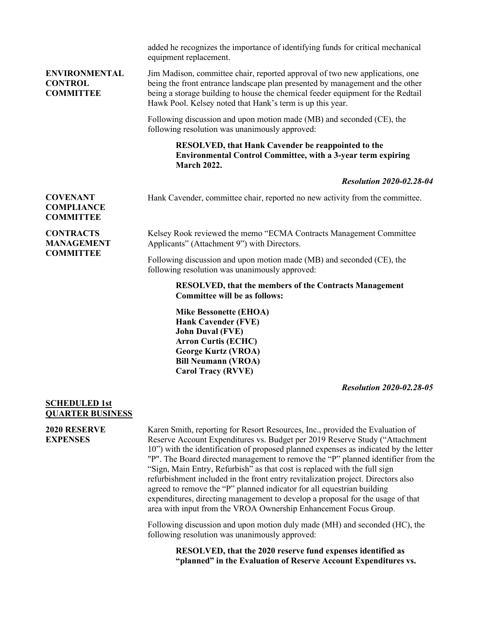|                                                            | added he recognizes the importance of identifying funds for critical mechanical<br>equipment replacement.                                                                                                                                                                                                     |
|------------------------------------------------------------|---------------------------------------------------------------------------------------------------------------------------------------------------------------------------------------------------------------------------------------------------------------------------------------------------------------|
| <b>ENVIRONMENTAL</b><br><b>CONTROL</b><br><b>COMMITTEE</b> | Jim Madison, committee chair, reported approval of two new applications, one<br>being the front entrance landscape plan presented by management and the other<br>being a storage building to house the chemical feeder equipment for the Redtail<br>Hawk Pool. Kelsey noted that Hank's term is up this year. |
|                                                            | Following discussion and upon motion made (MB) and seconded (CE), the<br>following resolution was unanimously approved:                                                                                                                                                                                       |
|                                                            | <b>RESOLVED, that Hank Cavender be reappointed to the</b><br><b>Environmental Control Committee, with a 3-year term expiring</b><br><b>March 2022.</b>                                                                                                                                                        |
|                                                            | <b>Resolution 2020-02.28-04</b>                                                                                                                                                                                                                                                                               |
| <b>COVENANT</b><br><b>COMPLIANCE</b><br><b>COMMITTEE</b>   | Hank Cavender, committee chair, reported no new activity from the committee.                                                                                                                                                                                                                                  |
| <b>CONTRACTS</b><br><b>MANAGEMENT</b><br><b>COMMITTEE</b>  | Kelsey Rook reviewed the memo "ECMA Contracts Management Committee<br>Applicants" (Attachment 9") with Directors.                                                                                                                                                                                             |
|                                                            | Following discussion and upon motion made (MB) and seconded (CE), the<br>following resolution was unanimously approved:                                                                                                                                                                                       |
|                                                            | <b>RESOLVED, that the members of the Contracts Management</b><br><b>Committee will be as follows:</b>                                                                                                                                                                                                         |
|                                                            | <b>Mike Bessonette (EHOA)</b><br><b>Hank Cavender (FVE)</b><br><b>John Duval (FVE)</b><br><b>Arron Curtis (ECHC)</b><br><b>George Kurtz (VROA)</b><br><b>Bill Neumann (VROA)</b><br><b>Carol Tracy (RVVE)</b>                                                                                                 |
|                                                            | <b>Resolution 2020-02.28-05</b>                                                                                                                                                                                                                                                                               |
| <b>SCHEDULED 1st</b>                                       |                                                                                                                                                                                                                                                                                                               |

## **QUARTER BUSINESS**

**2020 RESERVE EXPENSES**

Karen Smith, reporting for Resort Resources, Inc., provided the Evaluation of Reserve Account Expenditures vs. Budget per 2019 Reserve Study ("Attachment 10") with the identification of proposed planned expenses as indicated by the letter "P". The Board directed management to remove the "P" planned identifier from the "Sign, Main Entry, Refurbish" as that cost is replaced with the full sign refurbishment included in the front entry revitalization project. Directors also agreed to remove the "P" planned indicator for all equestrian building expenditures, directing management to develop a proposal for the usage of that area with input from the VROA Ownership Enhancement Focus Group.

Following discussion and upon motion duly made (MH) and seconded (HC), the following resolution was unanimously approved:

> **RESOLVED, that the 2020 reserve fund expenses identified as "planned" in the Evaluation of Reserve Account Expenditures vs.**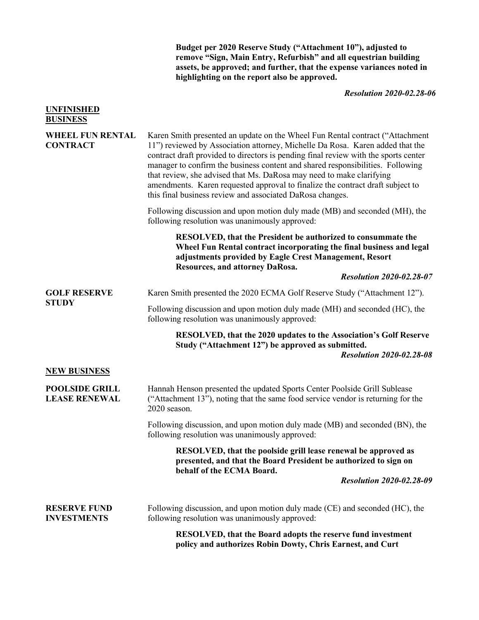**Budget per 2020 Reserve Study ("Attachment 10"), adjusted to remove "Sign, Main Entry, Refurbish" and all equestrian building assets, be approved; and further, that the expense variances noted in highlighting on the report also be approved.**

*Resolution 2020-02.28-06*

| <b>UNFINISHED</b><br><b>BUSINESS</b>          |                                                                                                                                                                                                                                                                                                                                                                                                                                                                                                                                                                |
|-----------------------------------------------|----------------------------------------------------------------------------------------------------------------------------------------------------------------------------------------------------------------------------------------------------------------------------------------------------------------------------------------------------------------------------------------------------------------------------------------------------------------------------------------------------------------------------------------------------------------|
| <b>WHEEL FUN RENTAL</b><br><b>CONTRACT</b>    | Karen Smith presented an update on the Wheel Fun Rental contract ("Attachment<br>11") reviewed by Association attorney, Michelle Da Rosa. Karen added that the<br>contract draft provided to directors is pending final review with the sports center<br>manager to confirm the business content and shared responsibilities. Following<br>that review, she advised that Ms. DaRosa may need to make clarifying<br>amendments. Karen requested approval to finalize the contract draft subject to<br>this final business review and associated DaRosa changes. |
|                                               | Following discussion and upon motion duly made (MB) and seconded (MH), the<br>following resolution was unanimously approved:                                                                                                                                                                                                                                                                                                                                                                                                                                   |
|                                               | RESOLVED, that the President be authorized to consummate the<br>Wheel Fun Rental contract incorporating the final business and legal<br>adjustments provided by Eagle Crest Management, Resort<br>Resources, and attorney DaRosa.                                                                                                                                                                                                                                                                                                                              |
|                                               | <b>Resolution 2020-02.28-07</b>                                                                                                                                                                                                                                                                                                                                                                                                                                                                                                                                |
| <b>GOLF RESERVE</b>                           | Karen Smith presented the 2020 ECMA Golf Reserve Study ("Attachment 12").                                                                                                                                                                                                                                                                                                                                                                                                                                                                                      |
| <b>STUDY</b>                                  | Following discussion and upon motion duly made (MH) and seconded (HC), the<br>following resolution was unanimously approved:                                                                                                                                                                                                                                                                                                                                                                                                                                   |
|                                               | RESOLVED, that the 2020 updates to the Association's Golf Reserve<br>Study ("Attachment 12") be approved as submitted.<br><b>Resolution 2020-02.28-08</b>                                                                                                                                                                                                                                                                                                                                                                                                      |
| <b>NEW BUSINESS</b>                           |                                                                                                                                                                                                                                                                                                                                                                                                                                                                                                                                                                |
| <b>POOLSIDE GRILL</b><br><b>LEASE RENEWAL</b> | Hannah Henson presented the updated Sports Center Poolside Grill Sublease<br>("Attachment 13"), noting that the same food service vendor is returning for the<br>2020 season.                                                                                                                                                                                                                                                                                                                                                                                  |
|                                               | Following discussion, and upon motion duly made (MB) and seconded (BN), the<br>following resolution was unanimously approved:                                                                                                                                                                                                                                                                                                                                                                                                                                  |
|                                               | RESOLVED, that the poolside grill lease renewal be approved as<br>presented, and that the Board President be authorized to sign on<br>behalf of the ECMA Board.<br><b>Resolution 2020-02.28-09</b>                                                                                                                                                                                                                                                                                                                                                             |
| <b>RESERVE FUND</b><br><b>INVESTMENTS</b>     | Following discussion, and upon motion duly made (CE) and seconded (HC), the<br>following resolution was unanimously approved:                                                                                                                                                                                                                                                                                                                                                                                                                                  |
|                                               | <b>RESOLVED, that the Board adopts the reserve fund investment</b><br>policy and authorizes Robin Dowty, Chris Earnest, and Curt                                                                                                                                                                                                                                                                                                                                                                                                                               |